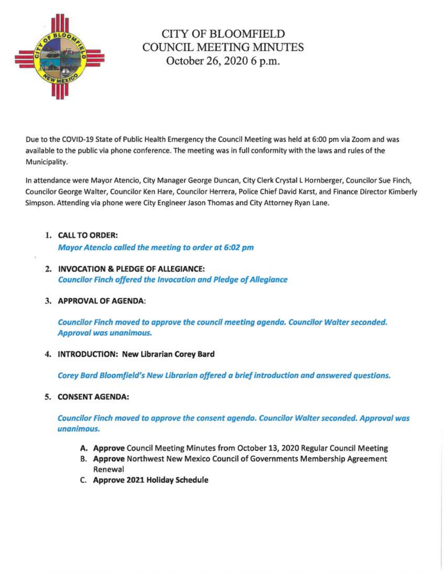

# CITY OF BLOOMFIELD COUNCIL MEETING MINUTES October 26, 2020 6 p.m.

Due to the COVID-19 State of Public Health Emergency the Council Meeting was held at 6:00 pm via Zoom and was available to the public via phone conference. The meeting was in full conformity with the laws and rules of the Municipality.

In attendance were Mayor Atencio, City Manager George Duncan, City Clerk Crystal L Hornberger, Councilor Sue Finch, Councilor George Walter, Councilor Ken Hare, Councilor Herrera, Police Chief David Karst, and Finance Director Kimberly Simpson. Attending via phone were City Engineer Jason Thomas and City Attorney Ryan Lane.

# 1. CALL TO ORDER:

Mayor Atencio called the meeting to order at 6:02 pm

2. INVOCATION & PLEDGE OF ALLEGIANCE: Councilor Finch offered the Invocation and Pledge of Allegiance

## 3. APPROVAL OF AGENDA:

Councilor Finch moved to approve the council meeting agenda. Councilor Walter seconded. Approval was unanimous.

## 4. INTRODUCTION: New Librarian Corey Bard

Corey Bard Bloomfield's New Librarian offered a brief introduction and answered questions.

## 5. CONSENT AGENDA:

Councilor Finch moved to approve the consent agenda. Councilor Walter seconded. Approval was unanimous.

- A. Approve Council Meeting Minutes from October 13, 2020 Regular Council Meeting
- B. Approve Northwest New Mexico Council of Governments Membership Agreement Renewal
- C. Approve 2021 Holiday Schedule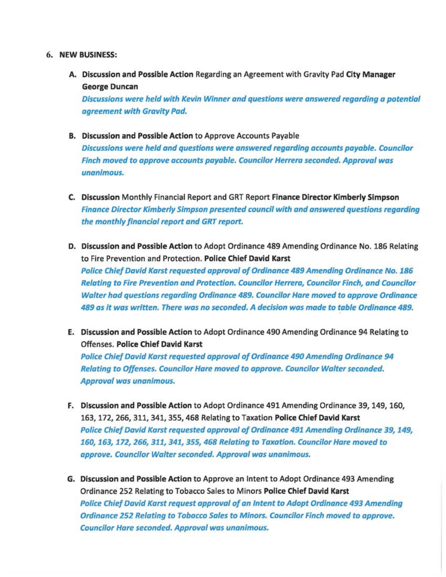#### 6. NEW BUSINESS:

A. Discussion and Possible Action Regarding an Agreement with Gravity Pad City Manager George Duncan

Discussions were held with Kevin Winner and questions were answered regarding a potential agreement with Gravity Pad.

- B. Discussion and Possible Action to Approve Accounts Payable Discussions were held and questions were answered regarding accounts payable. Councilor Finch moved to approve accounts payable. Councilor Herrera seconded. Approval was unanimous.
- C. Discussion Monthly Financial Report and GRT Report Finance Director Kimberly Simpson Finance Director Kimberly Simpson presented council with and answered questions regarding the monthly financial report and GRT report.
- D. Discussion and Possible Action to Adopt Ordinance 489 Amending Ordinance No. 186 Relating to Fire Prevention and Protection. Police Chief David Karst Police Chief David Karst requested approval of Ordinance 489 Amending Ordinance No. 186 Relating to Fire Prevention and Protection. Councilor Herrera, Councilor Finch, and Councilor Walter had questions regarding Ordinance 489. Councilor Hare moved to approve Ordinance 489 as it was written. There was no seconded. A decision was made to table Ordinance 489.
- E. Discussion and Possible Action to Adopt Ordinance 490 Amending Ordinance 94 Relating to Offenses. Police Chief David Karst

Police Chief David Karst requested approval of Ordinance 490 Amending Ordinance 94 Relating to Offenses. Councilor Hare moved to approve. Councilor Walter seconded. Approval was unanimous.

- F. Discussion and Possible Action to Adopt Ordinance 491 Amending Ordinance 39, 149, 160, 163, 172, 266, 311, 341, 355, 468 Relating to Taxation Police Chief David Karst Police Chief David Karst requested approval of Ordinance 491 Amending Ordinance 39, 149, 160, 163, 172, 266, 311, 341, 355, 468 Relating to Taxation. Councilor Hare moved to approve. Councilor Walter seconded. Approval was unanimous.
- G. Discussion and Possible Action to Approve an Intent to Adopt Ordinance 493 Amending Ordinance 252 Relating to Tobacco Sales to Minors Police Chief David Karst Police Chief David Karst request approval of an Intent to Adopt Ordinance 493 Amending Ordinance 252 Relating to Tobacco Sales to Minors. Councilor Finch moved to approve. Councilor Hare seconded. Approval was unanimous.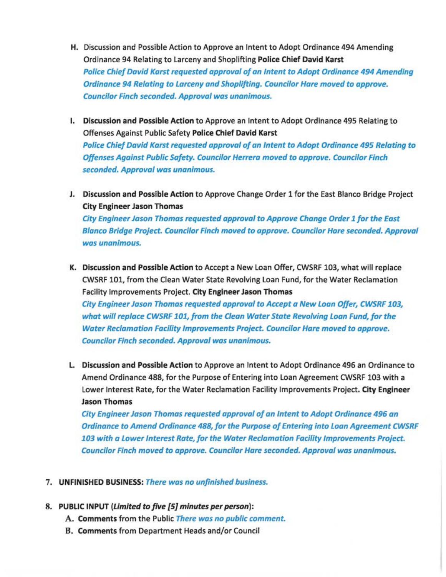- H. Discussion and Possible Action to Approve an Intent to Adopt Ordinance 494 Amending Ordinance 94 Relating to Larceny and Shoplifting Police Chief David Karst Police Chief David Karst requested approval of an Intent to Adopt Ordinance 494 Amending Ordinance 94 Relating to Larceny and Shoplifting. Councilor Hare moved to approve. Councilor Finch seconded. Approval was unanimous.
- I. Discussion and Possible Action to Approve an Intent to Adopt Ordinance 495 Relating to Offenses Against Public Safety Police Chief David Karst Police Chief David Karst requested approval of an Intent to Adopt Ordinance 495 Relating to Offenses Against Public Safety. Councilor Herrera moved to approve. Councilor Finch seconded. Approval was unanimous.
- J. Discussion and Possible Action to Approve Change Order 1 for the East Blanco Bridge Project City Engineer Jason Thomas

City Engineer Jason Thomas requested approval to Approve Change Order 1 for the East Blanco Bridge Project. Councilor Finch moved to approve. Councilor Hare seconded. Approval was unanimous.

- K. Discussion and Possible Action to Accept a New Loan Offer, CWSRF 103, what will replace CWSRF 101, from the Clean Water State Revolving Loan Fund, for the Water Reclamation Facility Improvements Project. City Engineer Jason Thomas City Engineer Jason Thomas requested approval to Accept a New Loan Offer, CWSRF 103, what will replace CWSRF 101, from the Clean Water State Revolving Loan Fund, for the Water Reclamation Facility Improvements Project. Councilor Hare moved to approve. Councilor Finch seconded. Approval was unanimous.
- L. Discussion and Possible Action to Approve an Intent to Adopt Ordinance 496 an Ordinance to Amend Ordinance 488, for the Purpose of Entering into Loan Agreement CWSRF 103 with a Lower Interest Rate, for the Water Reclamation Facility Improvements Project. City Engineer Jason Thomas

City Engineer Jason Thomas requested approval of an Intent to Adopt Ordinance 496 an Ordinance to Amend Ordinance 488, for the Purpose of Entering into Loan Agreement CWSRF 103 with a Lower Interest Rate, for the Water Reclamation Facility Improvements Project. Councilor Finch moved to approve. Councilor Hare seconded. Approval was unanimous.

7. UNFINISHED BUSINESS: There was no unfinished business.

#### 8. PUBLIC INPUT (Limited to five [5] minutes per person):

- A. Comments from the Public There was no public comment.
- B. Comments from Department Heads and/or Council